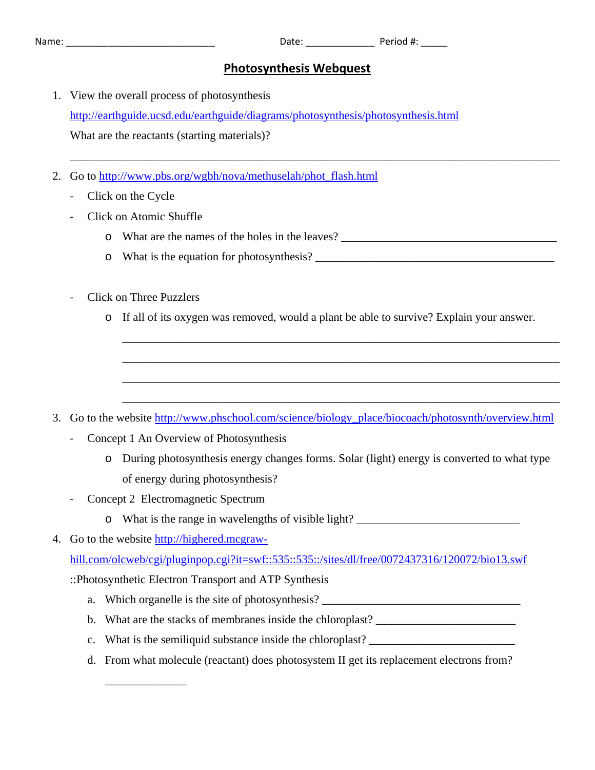| м | am |  |  |
|---|----|--|--|
|   |    |  |  |

Name: \_\_\_\_\_\_\_\_\_\_\_\_\_\_\_\_\_\_\_\_\_\_\_\_\_\_\_\_ Date: \_\_\_\_\_\_\_\_\_\_\_\_\_ Period #: \_\_\_\_\_

## **Photosynthesis Webquest**

\_\_\_\_\_\_\_\_\_\_\_\_\_\_\_\_\_\_\_\_\_\_\_\_\_\_\_\_\_\_\_\_\_\_\_\_\_\_\_\_\_\_\_\_\_\_\_\_\_\_\_\_\_\_\_\_\_\_\_\_\_\_\_\_\_\_\_\_\_\_\_\_\_\_\_\_\_\_\_\_\_\_\_\_

- 1. View the overall process of photosynthesis <http://earthguide.ucsd.edu/earthguide/diagrams/photosynthesis/photosynthesis.html> What are the reactants (starting materials)?
- 2. Go to http://www.pbs.org/wgbh/nova/methuselah/phot\_flash.html
	- ‐ Click on the Cycle
	- ‐ Click on Atomic Shuffle
		- o What are the names of the holes in the leaves? \_\_\_\_\_\_\_\_\_\_\_\_\_\_\_\_\_\_\_\_\_\_\_\_\_\_\_\_\_\_\_\_\_\_\_\_\_
		- o What is the equation for photosynthesis? \_\_\_\_\_\_\_\_\_\_\_\_\_\_\_\_\_\_\_\_\_\_\_\_\_\_\_\_\_\_\_\_\_\_\_\_\_\_\_\_\_
	- ‐ Click on Three Puzzlers
		- o If all of its oxygen was removed, would a plant be able to survive? Explain your answer.

\_\_\_\_\_\_\_\_\_\_\_\_\_\_\_\_\_\_\_\_\_\_\_\_\_\_\_\_\_\_\_\_\_\_\_\_\_\_\_\_\_\_\_\_\_\_\_\_\_\_\_\_\_\_\_\_\_\_\_\_\_\_\_\_\_\_\_\_\_\_\_\_\_\_\_

\_\_\_\_\_\_\_\_\_\_\_\_\_\_\_\_\_\_\_\_\_\_\_\_\_\_\_\_\_\_\_\_\_\_\_\_\_\_\_\_\_\_\_\_\_\_\_\_\_\_\_\_\_\_\_\_\_\_\_\_\_\_\_\_\_\_\_\_\_\_\_\_\_\_\_

\_\_\_\_\_\_\_\_\_\_\_\_\_\_\_\_\_\_\_\_\_\_\_\_\_\_\_\_\_\_\_\_\_\_\_\_\_\_\_\_\_\_\_\_\_\_\_\_\_\_\_\_\_\_\_\_\_\_\_\_\_\_\_\_\_\_\_\_\_\_\_\_\_\_\_

\_\_\_\_\_\_\_\_\_\_\_\_\_\_\_\_\_\_\_\_\_\_\_\_\_\_\_\_\_\_\_\_\_\_\_\_\_\_\_\_\_\_\_\_\_\_\_\_\_\_\_\_\_\_\_\_\_\_\_\_\_\_\_\_\_\_\_\_\_\_\_\_\_\_\_

- 3. Go to the website [http://www.phschool.com/science/biology\\_place/biocoach/photosynth/overview.html](http://www.phschool.com/science/biology_place/biocoach/photosynth/overview.html)
	- ‐ Concept 1 An Overview of Photosynthesis
		- o During photosynthesis energy changes forms. Solar (light) energy is converted to what type of energy during photosynthesis?
	- ‐ Concept 2 Electromagnetic Spectrum
		- o What is the range in wavelengths of visible light? \_\_\_\_\_\_\_\_\_\_\_\_\_\_\_\_\_\_\_\_\_\_\_\_\_\_\_\_
- 4. Go to the website [http://highered.mcgraw-](http://highered.mcgraw-hill.com/olcweb/cgi/pluginpop.cgi?it=swf::535::535::/sites/dl/free/0072437316/120072/bio13.swf)

\_\_\_\_\_\_\_\_\_\_\_\_\_\_

[hill.com/olcweb/cgi/pluginpop.cgi?it=swf::535::535::/sites/dl/free/0072437316/120072/bio13.swf](http://highered.mcgraw-hill.com/olcweb/cgi/pluginpop.cgi?it=swf::535::535::/sites/dl/free/0072437316/120072/bio13.swf)

::Photosynthetic Electron Transport and ATP Synthesis

- a. Which organelle is the site of photosynthesis?
- b. What are the stacks of membranes inside the chloroplast? \_\_\_\_\_\_\_\_\_\_\_\_\_\_\_\_\_\_\_\_\_
- c. What is the semiliquid substance inside the chloroplast? \_\_\_\_\_\_\_\_\_\_\_\_\_\_\_\_\_\_\_\_\_
- d. From what molecule (reactant) does photosystem II get its replacement electrons from?